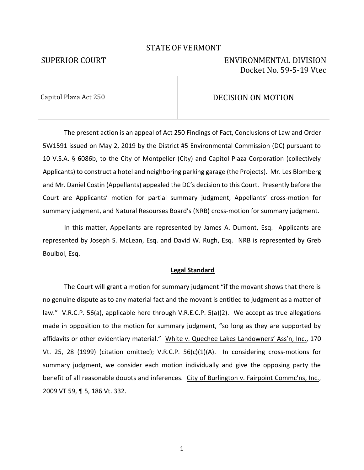## STATE OF VERMONT

# SUPERIOR COURT ENVIRONMENTAL DIVISION Docket No. 59-5-19 Vtec

# Capitol Plaza Act 250 **DECISION ON MOTION**

The present action is an appeal of Act 250 Findings of Fact, Conclusions of Law and Order 5W1591 issued on May 2, 2019 by the District #5 Environmental Commission (DC) pursuant to 10 V.S.A. § 6086b, to the City of Montpelier (City) and Capitol Plaza Corporation (collectively Applicants) to construct a hotel and neighboring parking garage (the Projects). Mr. Les Blomberg and Mr. Daniel Costin (Appellants) appealed the DC's decision to this Court. Presently before the Court are Applicants' motion for partial summary judgment, Appellants' cross-motion for summary judgment, and Natural Resourses Board's (NRB) cross-motion for summary judgment.

In this matter, Appellants are represented by James A. Dumont, Esq. Applicants are represented by Joseph S. McLean, Esq. and David W. Rugh, Esq. NRB is represented by Greb Boulbol, Esq.

### **Legal Standard**

The Court will grant a motion for summary judgment "if the movant shows that there is no genuine dispute as to any material fact and the movant is entitled to judgment as a matter of law." V.R.C.P. 56(a), applicable here through V.R.E.C.P. 5(a)(2). We accept as true allegations made in opposition to the motion for summary judgment, "so long as they are supported by affidavits or other evidentiary material." White v. Quechee Lakes Landowners' Ass'n, Inc., 170 Vt. 25, 28 (1999) (citation omitted); V.R.C.P. 56(c)(1)(A). In considering cross-motions for summary judgment, we consider each motion individually and give the opposing party the benefit of all reasonable doubts and inferences. City of Burlington v. Fairpoint Commc'ns, Inc., 2009 VT 59, ¶ 5, 186 Vt. 332.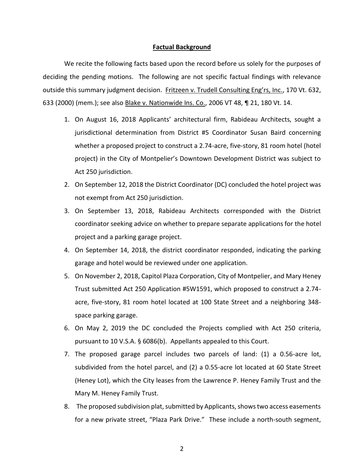### **Factual Background**

We recite the following facts based upon the record before us solely for the purposes of deciding the pending motions. The following are not specific factual findings with relevance outside this summary judgment decision. Fritzeen v. Trudell Consulting Eng'rs, Inc., 170 Vt. 632, 633 (2000) (mem.); see also Blake v. Nationwide Ins. Co., 2006 VT 48, ¶ 21, 180 Vt. 14.

- 1. On August 16, 2018 Applicants' architectural firm, Rabideau Architects, sought a jurisdictional determination from District #5 Coordinator Susan Baird concerning whether a proposed project to construct a 2.74-acre, five-story, 81 room hotel (hotel project) in the City of Montpelier's Downtown Development District was subject to Act 250 jurisdiction.
- 2. On September 12, 2018 the District Coordinator (DC) concluded the hotel project was not exempt from Act 250 jurisdiction.
- 3. On September 13, 2018, Rabideau Architects corresponded with the District coordinator seeking advice on whether to prepare separate applications for the hotel project and a parking garage project.
- 4. On September 14, 2018, the district coordinator responded, indicating the parking garage and hotel would be reviewed under one application.
- 5. On November 2, 2018, Capitol Plaza Corporation, City of Montpelier, and Mary Heney Trust submitted Act 250 Application #5W1591, which proposed to construct a 2.74 acre, five-story, 81 room hotel located at 100 State Street and a neighboring 348 space parking garage.
- 6. On May 2, 2019 the DC concluded the Projects complied with Act 250 criteria, pursuant to 10 V.S.A. § 6086(b). Appellants appealed to this Court.
- 7. The proposed garage parcel includes two parcels of land: (1) a 0.56-acre lot, subdivided from the hotel parcel, and (2) a 0.55-acre lot located at 60 State Street (Heney Lot), which the City leases from the Lawrence P. Heney Family Trust and the Mary M. Heney Family Trust.
- 8. The proposed subdivision plat, submitted by Applicants, shows two access easements for a new private street, "Plaza Park Drive." These include a north-south segment,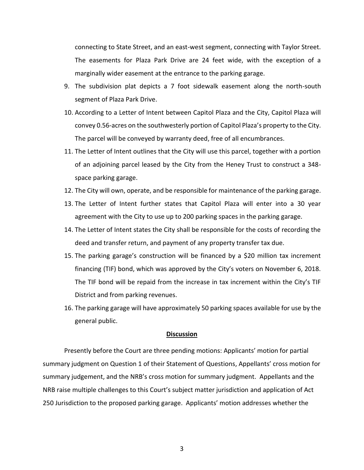connecting to State Street, and an east-west segment, connecting with Taylor Street. The easements for Plaza Park Drive are 24 feet wide, with the exception of a marginally wider easement at the entrance to the parking garage.

- 9. The subdivision plat depicts a 7 foot sidewalk easement along the north-south segment of Plaza Park Drive.
- 10. According to a Letter of Intent between Capitol Plaza and the City, Capitol Plaza will convey 0.56-acres on the southwesterly portion of Capitol Plaza's property to the City. The parcel will be conveyed by warranty deed, free of all encumbrances.
- 11. The Letter of Intent outlines that the City will use this parcel, together with a portion of an adjoining parcel leased by the City from the Heney Trust to construct a 348 space parking garage.
- 12. The City will own, operate, and be responsible for maintenance of the parking garage.
- 13. The Letter of Intent further states that Capitol Plaza will enter into a 30 year agreement with the City to use up to 200 parking spaces in the parking garage.
- 14. The Letter of Intent states the City shall be responsible for the costs of recording the deed and transfer return, and payment of any property transfer tax due.
- 15. The parking garage's construction will be financed by a \$20 million tax increment financing (TIF) bond, which was approved by the City's voters on November 6, 2018. The TIF bond will be repaid from the increase in tax increment within the City's TIF District and from parking revenues.
- 16. The parking garage will have approximately 50 parking spaces available for use by the general public.

### **Discussion**

Presently before the Court are three pending motions: Applicants' motion for partial summary judgment on Question 1 of their Statement of Questions, Appellants' cross motion for summary judgement, and the NRB's cross motion for summary judgment. Appellants and the NRB raise multiple challenges to this Court's subject matter jurisdiction and application of Act 250 Jurisdiction to the proposed parking garage. Applicants' motion addresses whether the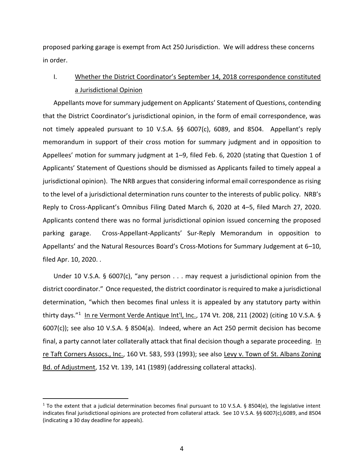proposed parking garage is exempt from Act 250 Jurisdiction. We will address these concerns in order.

# I. Whether the District Coordinator's September 14, 2018 correspondence constituted a Jurisdictional Opinion

Appellants move for summary judgement on Applicants' Statement of Questions, contending that the District Coordinator's jurisdictional opinion, in the form of email correspondence, was not timely appealed pursuant to 10 V.S.A. §§ 6007(c), 6089, and 8504. Appellant's reply memorandum in support of their cross motion for summary judgment and in opposition to Appellees' motion for summary judgment at 1–9, filed Feb. 6, 2020 (stating that Question 1 of Applicants' Statement of Questions should be dismissed as Applicants failed to timely appeal a jurisdictional opinion). The NRB argues that considering informal email correspondence as rising to the level of a jurisdictional determination runs counter to the interests of public policy. NRB's Reply to Cross-Applicant's Omnibus Filing Dated March 6, 2020 at 4–5, filed March 27, 2020. Applicants contend there was no formal jurisdictional opinion issued concerning the proposed parking garage. Cross-Appellant-Applicants' Sur-Reply Memorandum in opposition to Appellants' and the Natural Resources Board's Cross-Motions for Summary Judgement at 6–10, filed Apr. 10, 2020. .

Under 10 V.S.A. § 6007(c), "any person . . . may request a jurisdictional opinion from the district coordinator." Once requested, the district coordinator is required to make a jurisdictional determination, "which then becomes final unless it is appealed by any statutory party within thirty days."<sup>1</sup> In re Vermont Verde Antique Int'l, Inc., 174 Vt. 208, 211 (2002) (citing 10 V.S.A. § 6007(c)); see also 10 V.S.A. § 8504(a). Indeed, where an Act 250 permit decision has become final, a party cannot later collaterally attack that final decision though a separate proceeding. In re Taft Corners Assocs., Inc., 160 Vt. 583, 593 (1993); see also Levy v. Town of St. Albans Zoning Bd. of Adjustment, 152 Vt. 139, 141 (1989) (addressing collateral attacks).

<sup>&</sup>lt;sup>1</sup> To the extent that a judicial determination becomes final pursuant to 10 V.S.A. § 8504(e), the legislative intent indicates final jurisdictional opinions are protected from collateral attack. See 10 V.S.A. §§ 6007(c),6089, and 8504 (indicating a 30 day deadline for appeals).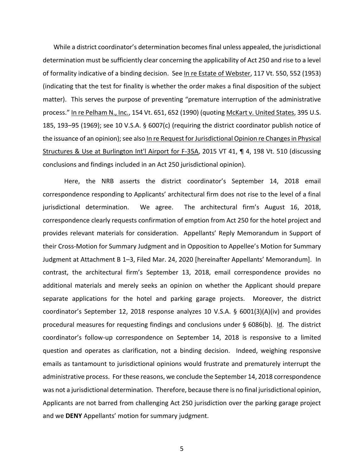While a district coordinator's determination becomes final unless appealed, the jurisdictional determination must be sufficiently clear concerning the applicability of Act 250 and rise to a level of formality indicative of a binding decision. See In re Estate of Webster, 117 Vt. 550, 552 (1953) (indicating that the test for finality is whether the order makes a final disposition of the subject matter). This serves the purpose of preventing "premature interruption of the administrative process." In re Pelham N., Inc., 154 Vt. 651, 652 (1990) (quoting McKart v. United States, 395 U.S. 185, 193–95 (1969); see 10 V.S.A. § 6007(c) (requiring the district coordinator publish notice of the issuance of an opinion); see also In re Request for Jurisdictional Opinion re Changes in Physical Structures & Use at Burlington Int'l Airport for F-35A, 2015 VT 41, ¶ 4, 198 Vt. 510 (discussing conclusions and findings included in an Act 250 jurisdictional opinion).

Here, the NRB asserts the district coordinator's September 14, 2018 email correspondence responding to Applicants' architectural firm does not rise to the level of a final jurisdictional determination. We agree. The architectural firm's August 16, 2018, correspondence clearly requests confirmation of emption from Act 250 for the hotel project and provides relevant materials for consideration. Appellants' Reply Memorandum in Support of their Cross-Motion for Summary Judgment and in Opposition to Appellee's Motion for Summary Judgment at Attachment B 1–3, Filed Mar. 24, 2020 [hereinafter Appellants' Memorandum]. In contrast, the architectural firm's September 13, 2018, email correspondence provides no additional materials and merely seeks an opinion on whether the Applicant should prepare separate applications for the hotel and parking garage projects. Moreover, the district coordinator's September 12, 2018 response analyzes 10 V.S.A. § 6001(3)(A)(iv) and provides procedural measures for requesting findings and conclusions under § 6086(b). Id. The district coordinator's follow-up correspondence on September 14, 2018 is responsive to a limited question and operates as clarification, not a binding decision. Indeed, weighing responsive emails as tantamount to jurisdictional opinions would frustrate and prematurely interrupt the administrative process. For these reasons, we conclude the September 14, 2018 correspondence was not a jurisdictional determination. Therefore, because there is no final jurisdictional opinion, Applicants are not barred from challenging Act 250 jurisdiction over the parking garage project and we **DENY** Appellants' motion for summary judgment.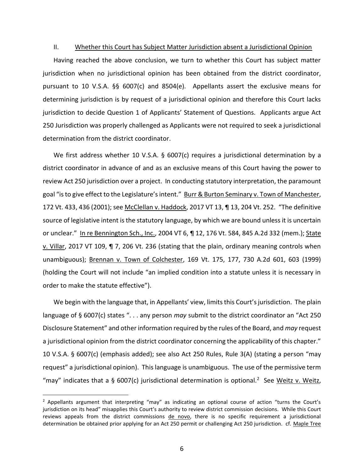#### II. Whether this Court has Subject Matter Jurisdiction absent a Jurisdictional Opinion

Having reached the above conclusion, we turn to whether this Court has subject matter jurisdiction when no jurisdictional opinion has been obtained from the district coordinator, pursuant to 10 V.S.A. §§ 6007(c) and 8504(e). Appellants assert the exclusive means for determining jurisdiction is by request of a jurisdictional opinion and therefore this Court lacks jurisdiction to decide Question 1 of Applicants' Statement of Questions. Applicants argue Act 250 Jurisdiction was properly challenged as Applicants were not required to seek a jurisdictional determination from the district coordinator.

We first address whether 10 V.S.A. § 6007(c) requires a jurisdictional determination by a district coordinator in advance of and as an exclusive means of this Court having the power to review Act 250 jurisdiction over a project. In conducting statutory interpretation, the paramount goal "is to give effect to the Legislature's intent." Burr & Burton Seminary v. Town of Manchester, 172 Vt. 433, 436 (2001); see McClellan v. Haddock, 2017 VT 13, ¶ 13, 204 Vt. 252. "The definitive source of legislative intent is the statutory language, by which we are bound unless it is uncertain or unclear." In re Bennington Sch., Inc., 2004 VT 6, ¶ 12, 176 Vt. 584, 845 A.2d 332 (mem.); State v. Villar, 2017 VT 109, ¶ 7, 206 Vt. 236 (stating that the plain, ordinary meaning controls when unambiguous); Brennan v. Town of Colchester, 169 Vt. 175, 177, 730 A.2d 601, 603 (1999) (holding the Court will not include "an implied condition into a statute unless it is necessary in order to make the statute effective").

We begin with the language that, in Appellants' view, limits this Court's jurisdiction. The plain language of § 6007(c) states ". . . any person *may* submit to the district coordinator an "Act 250 Disclosure Statement" and other information required by the rules of the Board, and *may* request a jurisdictional opinion from the district coordinator concerning the applicability of this chapter." 10 V.S.A. § 6007(c) (emphasis added); see also Act 250 Rules, Rule 3(A) (stating a person "may request" a jurisdictional opinion). This language is unambiguous. The use of the permissive term "may" indicates that a § 6007(c) jurisdictional determination is optional.<sup>2</sup> See Weitz v. Weitz,

<sup>&</sup>lt;sup>2</sup> Appellants argument that interpreting "may" as indicating an optional course of action "turns the Court's jurisdiction on its head" misapplies this Court's authority to review district commission decisions. While this Court reviews appeals from the district commissions de novo, there is no specific requirement a jurisdictional determination be obtained prior applying for an Act 250 permit or challenging Act 250 jurisdiction. cf. Maple Tree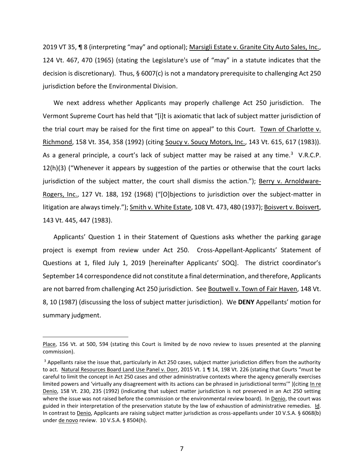2019 VT 35, ¶ 8 (interpreting "may" and optional); Marsigli Estate v. Granite City Auto Sales, Inc., 124 Vt. 467, 470 (1965) (stating the Legislature's use of "may" in a statute indicates that the decision is discretionary). Thus,  $\S$  6007(c) is not a mandatory prerequisite to challenging Act 250 jurisdiction before the Environmental Division.

We next address whether Applicants may properly challenge Act 250 jurisdiction. The Vermont Supreme Court has held that "[i]t is axiomatic that lack of subject matter jurisdiction of the trial court may be raised for the first time on appeal" to this Court. Town of Charlotte v. Richmond, 158 Vt. 354, 358 (1992) (citing Soucy v. Soucy Motors, Inc., 143 Vt. 615, 617 (1983)). As a general principle, a court's lack of subject matter may be raised at any time. $3$  V.R.C.P. 12(h)(3) ("Whenever it appears by suggestion of the parties or otherwise that the court lacks jurisdiction of the subject matter, the court shall dismiss the action."); Berry v. Arnoldware-Rogers, Inc., 127 Vt. 188, 192 (1968) ("[O]bjections to jurisdiction over the subject-matter in litigation are always timely."); Smith v. White Estate, 108 Vt. 473, 480 (1937); Boisvert v. Boisvert, 143 Vt. 445, 447 (1983).

Applicants' Question 1 in their Statement of Questions asks whether the parking garage project is exempt from review under Act 250. Cross-Appellant-Applicants' Statement of Questions at 1, filed July 1, 2019 [hereinafter Applicants' SOQ]. The district coordinator's September 14 correspondence did not constitute a final determination, and therefore, Applicants are not barred from challenging Act 250 jurisdiction. See Boutwell v. Town of Fair Haven, 148 Vt. 8, 10 (1987) (discussing the loss of subject matter jurisdiction). We **DENY** Appellants' motion for summary judgment.

Place, 156 Vt. at 500, 594 (stating this Court is limited by de novo review to issues presented at the planning commission).

<sup>&</sup>lt;sup>3</sup> Appellants raise the issue that, particularly in Act 250 cases, subject matter jurisdiction differs from the authority to act. Natural Resources Board Land Use Panel v. Dorr, 2015 Vt. 1 ¶ 14, 198 Vt. 226 (stating that Courts "must be careful to limit the concept in Act 250 cases and other administrative contexts where the agency generally exercises limited powers and 'virtually any disagreement with its actions can be phrased in jurisdictional terms'" )(citing In re Denio, 158 Vt. 230, 235 (1992) (indicating that subject matter jurisdiction is not preserved in an Act 250 setting where the issue was not raised before the commission or the environmental review board). In Denio, the court was guided in their interpretation of the preservation statute by the law of exhaustion of administrative remedies. Id. In contrast to **Denio**, Applicants are raising subject matter jurisdiction as cross-appellants under 10 V.S.A. § 6068(b) under de novo review. 10 V.S.A. § 8504(h).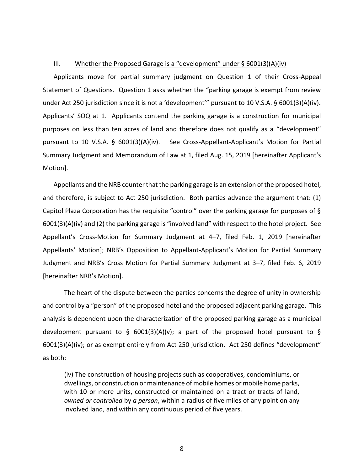### III. Whether the Proposed Garage is a "development" under  $\S$  6001(3)(A)(iv)

Applicants move for partial summary judgment on Question 1 of their Cross-Appeal Statement of Questions. Question 1 asks whether the "parking garage is exempt from review under Act 250 jurisdiction since it is not a 'development'" pursuant to 10 V.S.A. § 6001(3)(A)(iv). Applicants' SOQ at 1. Applicants contend the parking garage is a construction for municipal purposes on less than ten acres of land and therefore does not qualify as a "development" pursuant to 10 V.S.A. § 6001(3)(A)(iv). See Cross-Appellant-Applicant's Motion for Partial Summary Judgment and Memorandum of Law at 1, filed Aug. 15, 2019 [hereinafter Applicant's Motion].

Appellants and the NRB counter that the parking garage is an extension of the proposed hotel, and therefore, is subject to Act 250 jurisdiction. Both parties advance the argument that: (1) Capitol Plaza Corporation has the requisite "control" over the parking garage for purposes of § 6001(3)(A)(iv) and (2) the parking garage is "involved land" with respect to the hotel project. See Appellant's Cross-Motion for Summary Judgment at 4–7, filed Feb. 1, 2019 [hereinafter Appellants' Motion]; NRB's Opposition to Appellant-Applicant's Motion for Partial Summary Judgment and NRB's Cross Motion for Partial Summary Judgment at 3–7, filed Feb. 6, 2019 [hereinafter NRB's Motion].

The heart of the dispute between the parties concerns the degree of unity in ownership and control by a "person" of the proposed hotel and the proposed adjacent parking garage. This analysis is dependent upon the characterization of the proposed parking garage as a municipal development pursuant to § 6001(3)(A)(v); a part of the proposed hotel pursuant to § 6001(3)(A)(iv); or as exempt entirely from Act 250 jurisdiction. Act 250 defines "development" as both:

(iv) The construction of housing projects such as cooperatives, condominiums, or dwellings, or construction or maintenance of mobile homes or mobile home parks, with 10 or more units, constructed or maintained on a tract or tracts of land, *owned or controlled* by *a person*, within a radius of five miles of any point on any involved land, and within any continuous period of five years.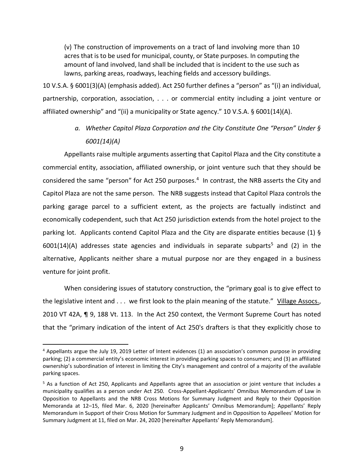(v) The construction of improvements on a tract of land involving more than 10 acres that is to be used for municipal, county, or State purposes. In computing the amount of land involved, land shall be included that is incident to the use such as lawns, parking areas, roadways, leaching fields and accessory buildings.

10 V.S.A. § 6001(3)(A) (emphasis added). Act 250 further defines a "person" as "(i) an individual, partnership, corporation, association, . . . or commercial entity including a joint venture or affiliated ownership" and "(ii) a municipality or State agency." 10 V.S.A. § 6001(14)(A).

> *a. Whether Capitol Plaza Corporation and the City Constitute One "Person" Under § 6001(14)(A)*

Appellants raise multiple arguments asserting that Capitol Plaza and the City constitute a commercial entity, association, affiliated ownership, or joint venture such that they should be considered the same "person" for Act 250 purposes.<sup>4</sup> In contrast, the NRB asserts the City and Capitol Plaza are not the same person. The NRB suggests instead that Capitol Plaza controls the parking garage parcel to a sufficient extent, as the projects are factually indistinct and economically codependent, such that Act 250 jurisdiction extends from the hotel project to the parking lot. Applicants contend Capitol Plaza and the City are disparate entities because (1) § 6001(14)(A) addresses state agencies and individuals in separate subparts<sup>5</sup> and (2) in the alternative, Applicants neither share a mutual purpose nor are they engaged in a business venture for joint profit.

When considering issues of statutory construction, the "primary goal is to give effect to the legislative intent and . . . we first look to the plain meaning of the statute." Village Assocs., 2010 VT 42A, ¶ 9, 188 Vt. 113. In the Act 250 context, the Vermont Supreme Court has noted that the "primary indication of the intent of Act 250's drafters is that they explicitly chose to

<sup>&</sup>lt;sup>4</sup> Appellants argue the July 19, 2019 Letter of Intent evidences (1) an association's common purpose in providing parking; (2) a commercial entity's economic interest in providing parking spaces to consumers; and (3) an affiliated ownership's subordination of interest in limiting the City's management and control of a majority of the available parking spaces.

<sup>&</sup>lt;sup>5</sup> As a function of Act 250, Applicants and Appellants agree that an association or joint venture that includes a municipality qualifies as a person under Act 250. Cross-Appellant-Applicants' Omnibus Memorandum of Law in Opposition to Appellants and the NRB Cross Motions for Summary Judgment and Reply to their Opposition Memoranda at 12–15, filed Mar. 6, 2020 [hereinafter Applicants' Omnibus Memorandum]; Appellants' Reply Memorandum in Support of their Cross Motion for Summary Judgment and in Opposition to Appellees' Motion for Summary Judgment at 11, filed on Mar. 24, 2020 [hereinafter Appellants' Reply Memorandum].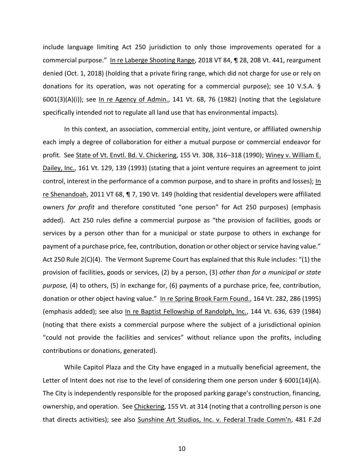include language limiting Act 250 jurisdiction to only those improvements operated for a commercial purpose." In re Laberge Shooting Range, 2018 VT 84, ¶ 28, 208 Vt. 441, reargument denied (Oct. 1, 2018) (holding that a private firing range, which did not charge for use or rely on donations for its operation, was not operating for a commercial purpose); see 10 V.S.A. § 6001(3)(A)(i)); see In re Agency of Admin., 141 Vt. 68, 76 (1982) (noting that the Legislature specifically intended not to regulate all land use that has environmental impacts).

In this context, an association, commercial entity, joint venture, or affiliated ownership each imply a degree of collaboration for either a mutual purpose or commercial endeavor for profit. See State of Vt. Envtl. Bd. V. Chickering, 155 Vt. 308, 316–318 (1990); Winey v. William E. Dailey, Inc., 161 Vt. 129, 139 (1993) (stating that a joint venture requires an agreement to joint control, interest in the performance of a common purpose, and to share in profits and losses); In re Shenandoah, 2011 VT 68, ¶ 7, 190 Vt. 149 (holding that residential developers were affiliated owners *for profit* and therefore constituted "one person" for Act 250 purposes) (emphasis added). Act 250 rules define a commercial purpose as "the provision of facilities, goods or services by a person other than for a municipal or state purpose to others in exchange for payment of a purchase price, fee, contribution, donation or other object or service having value." Act 250 Rule 2(C)(4). The Vermont Supreme Court has explained that this Rule includes: "(1) the provision of facilities, goods or services, (2) by a person, (3) *other than for a municipal or state purpose,* (4) to others, (5) in exchange for, (6) payments of a purchase price, fee, contribution, donation or other object having value." In re Spring Brook Farm Found., 164 Vt. 282, 286 (1995) (emphasis added); see also In re Baptist Fellowship of Randolph, Inc., 144 Vt. 636, 639 (1984) (noting that there exists a commercial purpose where the subject of a jurisdictional opinion "could not provide the facilities and services" without reliance upon the profits, including contributions or donations, generated).

While Capitol Plaza and the City have engaged in a mutually beneficial agreement, the Letter of Intent does not rise to the level of considering them one person under  $\S$  6001(14)(A). The City is independently responsible for the proposed parking garage's construction, financing, ownership, and operation. See Chickering, 155 Vt. at 314 (noting that a controlling person is one that directs activities); see also Sunshine Art Studios, Inc. v. Federal Trade Comm'n, 481 F.2d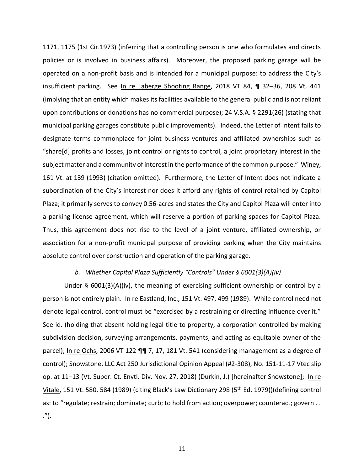1171, 1175 (1st Cir.1973) (inferring that a controlling person is one who formulates and directs policies or is involved in business affairs). Moreover, the proposed parking garage will be operated on a non-profit basis and is intended for a municipal purpose: to address the City's insufficient parking. See In re Laberge Shooting Range, 2018 VT 84, 1 32–36, 208 Vt. 441 (implying that an entity which makes its facilities available to the general public and is not reliant upon contributions or donations has no commercial purpose); 24 V.S.A. § 2291(26) (stating that municipal parking garages constitute public improvements). Indeed, the Letter of Intent fails to designate terms commonplace for joint business ventures and affiliated ownerships such as "share[d] profits and losses, joint control or rights to control, a joint proprietary interest in the subject matter and a community of interest in the performance of the common purpose." Winey, 161 Vt. at 139 (1993) (citation omitted). Furthermore, the Letter of Intent does not indicate a subordination of the City's interest nor does it afford any rights of control retained by Capitol Plaza; it primarily serves to convey 0.56-acres and states the City and Capitol Plaza will enter into a parking license agreement, which will reserve a portion of parking spaces for Capitol Plaza. Thus, this agreement does not rise to the level of a joint venture, affiliated ownership, or association for a non-profit municipal purpose of providing parking when the City maintains absolute control over construction and operation of the parking garage.

### *b. Whether Capitol Plaza Sufficiently "Controls" Under § 6001(3)(A)(iv)*

Under § 6001(3)(A)(iv), the meaning of exercising sufficient ownership or control by a person is not entirely plain. In re Eastland, Inc., 151 Vt. 497, 499 (1989). While control need not denote legal control, control must be "exercised by a restraining or directing influence over it." See id. (holding that absent holding legal title to property, a corporation controlled by making subdivision decision, surveying arrangements, payments, and acting as equitable owner of the parcel); In re Ochs, 2006 VT 122 ¶¶ 7, 17, 181 Vt. 541 (considering management as a degree of control); Snowstone, LLC Act 250 Jurisdictional Opinion Appeal (#2-308), No. 151-11-17 Vtec slip op. at 11–13 (Vt. Super. Ct. Envtl. Div. Nov. 27, 2018) (Durkin, J.) [hereinafter Snowstone]; In re Vitale, 151 Vt. 580, 584 (1989) (citing Black's Law Dictionary 298 (5<sup>th</sup> Ed. 1979))(defining control as: to "regulate; restrain; dominate; curb; to hold from action; overpower; counteract; govern . . .").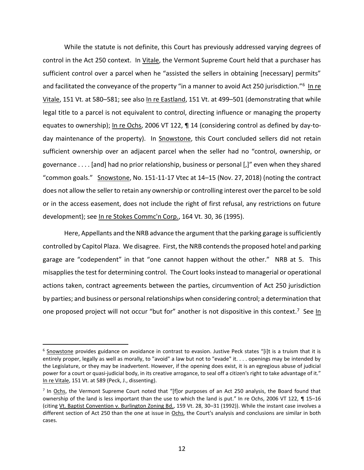While the statute is not definite, this Court has previously addressed varying degrees of control in the Act 250 context. In Vitale, the Vermont Supreme Court held that a purchaser has sufficient control over a parcel when he "assisted the sellers in obtaining [necessary] permits" and facilitated the conveyance of the property "in a manner to avoid Act 250 jurisdiction."<sup>6</sup> In re Vitale, 151 Vt. at 580–581; see also In re Eastland, 151 Vt. at 499–501 (demonstrating that while legal title to a parcel is not equivalent to control, directing influence or managing the property equates to ownership); In re Ochs, 2006 VT 122, ¶ 14 (considering control as defined by day-today maintenance of the property). In Snowstone, this Court concluded sellers did not retain sufficient ownership over an adjacent parcel when the seller had no "control, ownership, or governance . . . . [and] had no prior relationship, business or personal [,]" even when they shared "common goals." Snowstone, No. 151-11-17 Vtec at 14–15 (Nov. 27, 2018) (noting the contract does not allow the seller to retain any ownership or controlling interest over the parcel to be sold or in the access easement, does not include the right of first refusal, any restrictions on future development); see In re Stokes Commc'n Corp., 164 Vt. 30, 36 (1995).

Here, Appellants and the NRB advance the argument that the parking garage is sufficiently controlled by Capitol Plaza. We disagree. First, the NRB contends the proposed hotel and parking garage are "codependent" in that "one cannot happen without the other." NRB at 5. This misapplies the test for determining control. The Court looksinstead to managerial or operational actions taken, contract agreements between the parties, circumvention of Act 250 jurisdiction by parties; and business or personal relationships when considering control; a determination that one proposed project will not occur "but for" another is not dispositive in this context.<sup>7</sup> See In

<sup>&</sup>lt;sup>6</sup> Snowstone provides guidance on avoidance in contrast to evasion. Justive Peck states "[i]t is a truism that it is entirely proper, legally as well as morally, to "avoid" a law but not to "evade" it. . . . openings may be intended by the Legislature, or they may be inadvertent. However, if the opening does exist, it is an egregious abuse of judicial power for a court or quasi-judicial body, in its creative arrogance, to seal off a citizen's right to take advantage of it." In re Vitale, 151 Vt. at 589 (Peck, J., dissenting).

<sup>&</sup>lt;sup>7</sup> In Ochs, the Vermont Supreme Court noted that "[f]or purposes of an Act 250 analysis, the Board found that ownership of the land is less important than the use to which the land is put." In re Ochs, 2006 VT 122, ¶ 15–16 (citing Vt. Baptist Convention v. Burlington Zoning Bd., 159 Vt. 28, 30–31 (1992)). While the instant case involves a different section of Act 250 than the one at issue in Ochs, the Court's analysis and conclusions are similar in both cases.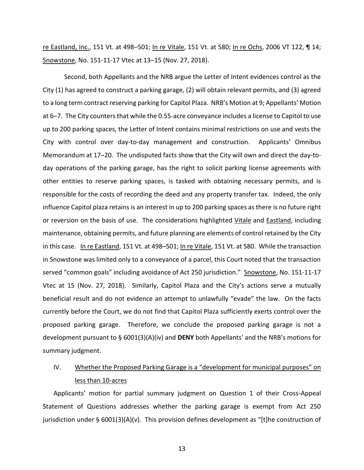re Eastland, Inc., 151 Vt. at 498–501; In re Vitale, 151 Vt. at 580; In re Ochs, 2006 VT 122, ¶ 14; Snowstone, No. 151-11-17 Vtec at 13–15 (Nov. 27, 2018).

Second, both Appellants and the NRB argue the Letter of Intent evidences control as the City (1) has agreed to construct a parking garage, (2) will obtain relevant permits, and (3) agreed to a long term contract reserving parking for Capitol Plaza. NRB's Motion at 9; Appellants' Motion at 6–7. The City counters that while the 0.55-acre conveyance includes a license to Capitol to use up to 200 parking spaces, the Letter of Intent contains minimal restrictions on use and vests the City with control over day-to-day management and construction. Applicants' Omnibus Memorandum at 17–20. The undisputed facts show that the City will own and direct the day-today operations of the parking garage, has the right to solicit parking license agreements with other entities to reserve parking spaces, is tasked with obtaining necessary permits, and is responsible for the costs of recording the deed and any property transfer tax. Indeed, the only influence Capitol plaza retains is an interest in up to 200 parking spaces as there is no future right or reversion on the basis of use. The considerations highlighted Vitale and Eastland, including maintenance, obtaining permits, and future planning are elements of control retained by the City in this case. In re Eastland, 151 Vt. at 498–501; In re Vitale, 151 Vt. at 580. While the transaction in Snowstone was limited only to a conveyance of a parcel, this Court noted that the transaction served "common goals" including avoidance of Act 250 jurisdiction." Snowstone, No. 151-11-17 Vtec at 15 (Nov. 27, 2018). Similarly, Capitol Plaza and the City's actions serve a mutually beneficial result and do not evidence an attempt to unlawfully "evade" the law. On the facts currently before the Court, we do not find that Capitol Plaza sufficiently exerts control over the proposed parking garage. Therefore, we conclude the proposed parking garage is not a development pursuant to § 6001(3)(A)(iv) and **DENY** both Appellants' and the NRB's motions for summary judgment.

# IV. Whether the Proposed Parking Garage is a "development for municipal purposes" on less than 10-acres

Applicants' motion for partial summary judgment on Question 1 of their Cross-Appeal Statement of Questions addresses whether the parking garage is exempt from Act 250 jurisdiction under § 6001(3)(A)(v). This provision defines development as "[t]he construction of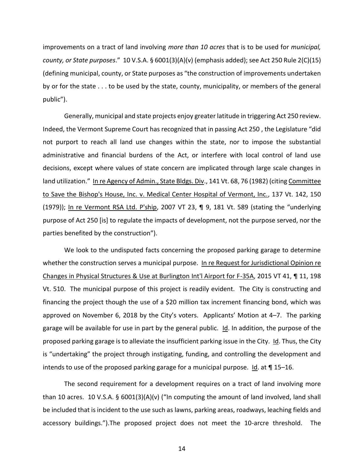improvements on a tract of land involving *more than 10 acres* that is to be used for *municipal, county, or State purposes*." 10 V.S.A. § 6001(3)(A)(v) (emphasis added); see Act 250 Rule 2(C)(15) (defining municipal, county, or State purposes as "the construction of improvements undertaken by or for the state . . . to be used by the state, county, municipality, or members of the general public").

Generally, municipal and state projects enjoy greater latitude in triggering Act 250 review. Indeed, the Vermont Supreme Court has recognized that in passing Act 250 , the Legislature "did not purport to reach all land use changes within the state, nor to impose the substantial administrative and financial burdens of the Act, or interfere with local control of land use decisions, except where values of state concern are implicated through large scale changes in land utilization." In re Agency of Admin., State Bldgs. Div., 141 Vt. 68, 76 (1982) (citing Committee to Save the Bishop's House, Inc. v. Medical Center Hospital of Vermont, Inc., 137 Vt. 142, 150 (1979)); In re Vermont RSA Ltd. P'ship, 2007 VT 23, ¶ 9, 181 Vt. 589 (stating the "underlying purpose of Act 250 [is] to regulate the impacts of development, not the purpose served, nor the parties benefited by the construction").

We look to the undisputed facts concerning the proposed parking garage to determine whether the construction serves a municipal purpose. In re Request for Jurisdictional Opinion re Changes in Physical Structures & Use at Burlington Int'l Airport for F-35A, 2015 VT 41, ¶ 11, 198 Vt. 510. The municipal purpose of this project is readily evident. The City is constructing and financing the project though the use of a \$20 million tax increment financing bond, which was approved on November 6, 2018 by the City's voters. Applicants' Motion at 4–7. The parking garage will be available for use in part by the general public. Id. In addition, the purpose of the proposed parking garage is to alleviate the insufficient parking issue in the City. Id. Thus, the City is "undertaking" the project through instigating, funding, and controlling the development and intends to use of the proposed parking garage for a municipal purpose. Id. at  $\P$  15–16.

The second requirement for a development requires on a tract of land involving more than 10 acres. 10 V.S.A.  $\S$  6001(3)(A)(v) ("In computing the amount of land involved, land shall be included that is incident to the use such as lawns, parking areas, roadways, leaching fields and accessory buildings.").The proposed project does not meet the 10-arcre threshold. The